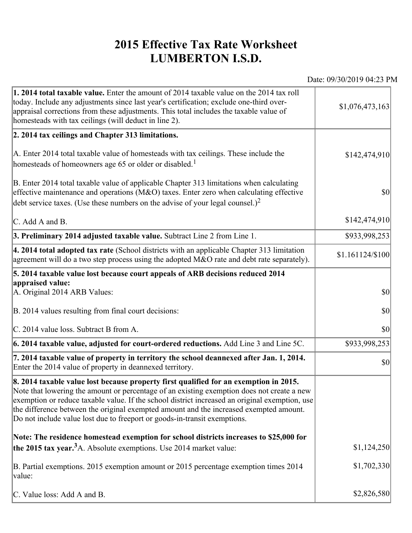## **2015 Effective Tax Rate Worksheet LUMBERTON I.S.D.**

Date: 09/30/2019 04:23 PM

| <b>1. 2014 total taxable value.</b> Enter the amount of 2014 taxable value on the 2014 tax roll<br>today. Include any adjustments since last year's certification; exclude one-third over-<br>appraisal corrections from these adjustments. This total includes the taxable value of<br>homesteads with tax ceilings (will deduct in line 2).                                                                                                                | \$1,076,473,163  |
|--------------------------------------------------------------------------------------------------------------------------------------------------------------------------------------------------------------------------------------------------------------------------------------------------------------------------------------------------------------------------------------------------------------------------------------------------------------|------------------|
| 2. 2014 tax ceilings and Chapter 313 limitations.                                                                                                                                                                                                                                                                                                                                                                                                            |                  |
| A. Enter 2014 total taxable value of homesteads with tax ceilings. These include the<br>homesteads of homeowners age 65 or older or disabled. <sup>1</sup>                                                                                                                                                                                                                                                                                                   | \$142,474,910    |
| B. Enter 2014 total taxable value of applicable Chapter 313 limitations when calculating<br>effective maintenance and operations ( $M&O$ ) taxes. Enter zero when calculating effective<br>debt service taxes. (Use these numbers on the advise of your legal counsel.) <sup>2</sup>                                                                                                                                                                         | $ 10\rangle$     |
| C. Add A and B.                                                                                                                                                                                                                                                                                                                                                                                                                                              | \$142,474,910    |
| 3. Preliminary 2014 adjusted taxable value. Subtract Line 2 from Line 1.                                                                                                                                                                                                                                                                                                                                                                                     | \$933,998,253    |
| $\vert$ 4. 2014 total adopted tax rate (School districts with an applicable Chapter 313 limitation<br>agreement will do a two step process using the adopted M&O rate and debt rate separately).                                                                                                                                                                                                                                                             | \$1.161124/\$100 |
| 5. 2014 taxable value lost because court appeals of ARB decisions reduced 2014                                                                                                                                                                                                                                                                                                                                                                               |                  |
| appraised value:<br>A. Original 2014 ARB Values:                                                                                                                                                                                                                                                                                                                                                                                                             | $ 10\rangle$     |
| B. 2014 values resulting from final court decisions:                                                                                                                                                                                                                                                                                                                                                                                                         | $ 10\rangle$     |
| C. 2014 value loss. Subtract B from A.                                                                                                                                                                                                                                                                                                                                                                                                                       | $ 10\rangle$     |
| $\vert$ 6. 2014 taxable value, adjusted for court-ordered reductions. Add Line 3 and Line 5C.                                                                                                                                                                                                                                                                                                                                                                | \$933,998,253    |
| 7. 2014 taxable value of property in territory the school deannexed after Jan. 1, 2014.<br>Enter the 2014 value of property in deannexed territory.                                                                                                                                                                                                                                                                                                          | $ 10\rangle$     |
| 8. 2014 taxable value lost because property first qualified for an exemption in 2015.<br>Note that lowering the amount or percentage of an existing exemption does not create a new<br>exemption or reduce taxable value. If the school district increased an original exemption, use<br>the difference between the original exempted amount and the increased exempted amount.<br>Do not include value lost due to freeport or goods-in-transit exemptions. |                  |
| Note: The residence homestead exemption for school districts increases to \$25,000 for                                                                                                                                                                                                                                                                                                                                                                       |                  |
| the 2015 tax year. <sup>3</sup> A. Absolute exemptions. Use 2014 market value:                                                                                                                                                                                                                                                                                                                                                                               | \$1,124,250      |
| B. Partial exemptions. 2015 exemption amount or 2015 percentage exemption times 2014<br>value:                                                                                                                                                                                                                                                                                                                                                               | \$1,702,330      |
| C. Value loss: Add A and B.                                                                                                                                                                                                                                                                                                                                                                                                                                  | \$2,826,580      |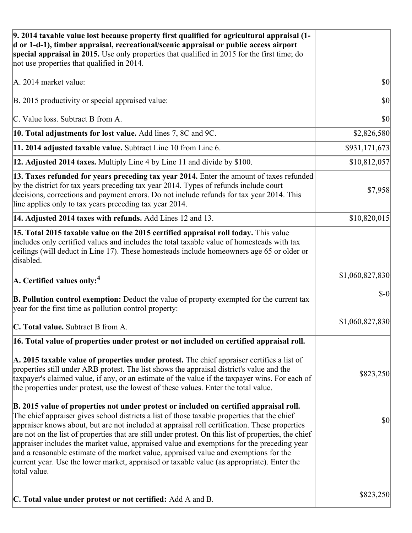| 9. 2014 taxable value lost because property first qualified for agricultural appraisal (1-<br>d or 1-d-1), timber appraisal, recreational/scenic appraisal or public access airport<br>special appraisal in 2015. Use only properties that qualified in 2015 for the first time; do<br>not use properties that qualified in 2014.                                                                                                                                                                                                                                                                                                                                                                     |                 |
|-------------------------------------------------------------------------------------------------------------------------------------------------------------------------------------------------------------------------------------------------------------------------------------------------------------------------------------------------------------------------------------------------------------------------------------------------------------------------------------------------------------------------------------------------------------------------------------------------------------------------------------------------------------------------------------------------------|-----------------|
| A. 2014 market value:                                                                                                                                                                                                                                                                                                                                                                                                                                                                                                                                                                                                                                                                                 | \$0             |
| B. 2015 productivity or special appraised value:                                                                                                                                                                                                                                                                                                                                                                                                                                                                                                                                                                                                                                                      | 30              |
| C. Value loss. Subtract B from A.                                                                                                                                                                                                                                                                                                                                                                                                                                                                                                                                                                                                                                                                     | \$0             |
| 10. Total adjustments for lost value. Add lines 7, 8C and 9C.                                                                                                                                                                                                                                                                                                                                                                                                                                                                                                                                                                                                                                         | \$2,826,580     |
| 11. 2014 adjusted taxable value. Subtract Line 10 from Line 6.                                                                                                                                                                                                                                                                                                                                                                                                                                                                                                                                                                                                                                        | \$931,171,673   |
| 12. Adjusted 2014 taxes. Multiply Line 4 by Line 11 and divide by \$100.                                                                                                                                                                                                                                                                                                                                                                                                                                                                                                                                                                                                                              | \$10,812,057    |
| 13. Taxes refunded for years preceding tax year 2014. Enter the amount of taxes refunded<br>by the district for tax years preceding tax year 2014. Types of refunds include court<br>decisions, corrections and payment errors. Do not include refunds for tax year 2014. This<br>line applies only to tax years preceding tax year 2014.                                                                                                                                                                                                                                                                                                                                                             | \$7,958         |
| 14. Adjusted 2014 taxes with refunds. Add Lines 12 and 13.                                                                                                                                                                                                                                                                                                                                                                                                                                                                                                                                                                                                                                            | \$10,820,015    |
| 15. Total 2015 taxable value on the 2015 certified appraisal roll today. This value<br>includes only certified values and includes the total taxable value of homesteads with tax<br>ceilings (will deduct in Line 17). These homesteads include homeowners age 65 or older or<br>disabled.                                                                                                                                                                                                                                                                                                                                                                                                           |                 |
| $\vert$ A. Certified values only: <sup>4</sup>                                                                                                                                                                                                                                                                                                                                                                                                                                                                                                                                                                                                                                                        | \$1,060,827,830 |
| <b>B. Pollution control exemption:</b> Deduct the value of property exempted for the current tax<br>year for the first time as pollution control property:                                                                                                                                                                                                                                                                                                                                                                                                                                                                                                                                            | $$-0$           |
| C. Total value. Subtract B from A.                                                                                                                                                                                                                                                                                                                                                                                                                                                                                                                                                                                                                                                                    | \$1,060,827,830 |
| 16. Total value of properties under protest or not included on certified appraisal roll.                                                                                                                                                                                                                                                                                                                                                                                                                                                                                                                                                                                                              |                 |
| A. 2015 taxable value of properties under protest. The chief appraiser certifies a list of<br>properties still under ARB protest. The list shows the appraisal district's value and the<br>taxpayer's claimed value, if any, or an estimate of the value if the taxpayer wins. For each of<br>the properties under protest, use the lowest of these values. Enter the total value.                                                                                                                                                                                                                                                                                                                    | \$823,250       |
| B. 2015 value of properties not under protest or included on certified appraisal roll.<br>The chief appraiser gives school districts a list of those taxable properties that the chief<br>appraiser knows about, but are not included at appraisal roll certification. These properties<br>are not on the list of properties that are still under protest. On this list of properties, the chief<br>appraiser includes the market value, appraised value and exemptions for the preceding year<br>and a reasonable estimate of the market value, appraised value and exemptions for the<br>current year. Use the lower market, appraised or taxable value (as appropriate). Enter the<br>total value. | \$0             |
| C. Total value under protest or not certified: Add A and B.                                                                                                                                                                                                                                                                                                                                                                                                                                                                                                                                                                                                                                           | \$823,250       |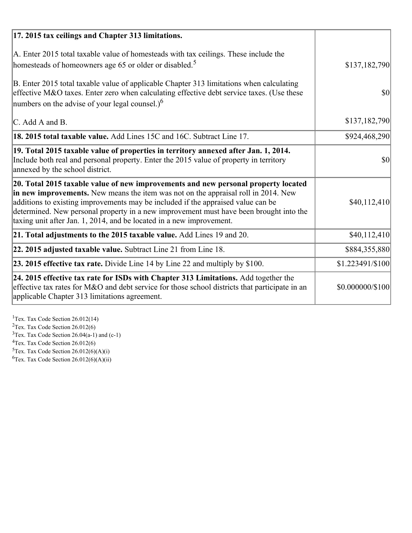| 17. 2015 tax ceilings and Chapter 313 limitations.                                                                                                                                                                                                                                                                                                                                                                             |                  |
|--------------------------------------------------------------------------------------------------------------------------------------------------------------------------------------------------------------------------------------------------------------------------------------------------------------------------------------------------------------------------------------------------------------------------------|------------------|
| A. Enter 2015 total taxable value of homesteads with tax ceilings. These include the<br>homesteads of homeowners age 65 or older or disabled. <sup>5</sup>                                                                                                                                                                                                                                                                     | \$137,182,790    |
| B. Enter 2015 total taxable value of applicable Chapter 313 limitations when calculating<br>effective M&O taxes. Enter zero when calculating effective debt service taxes. (Use these<br>numbers on the advise of your legal counsel.) <sup>6</sup>                                                                                                                                                                            | $\vert$ \$0      |
| C. Add A and B.                                                                                                                                                                                                                                                                                                                                                                                                                | \$137,182,790    |
| 18. 2015 total taxable value. Add Lines 15C and 16C. Subtract Line 17.                                                                                                                                                                                                                                                                                                                                                         | \$924,468,290    |
| 19. Total 2015 taxable value of properties in territory annexed after Jan. 1, 2014.<br>Include both real and personal property. Enter the 2015 value of property in territory<br>annexed by the school district.                                                                                                                                                                                                               | 30               |
| 20. Total 2015 taxable value of new improvements and new personal property located<br>in new improvements. New means the item was not on the appraisal roll in 2014. New<br>additions to existing improvements may be included if the appraised value can be<br>determined. New personal property in a new improvement must have been brought into the<br>taxing unit after Jan. 1, 2014, and be located in a new improvement. | \$40,112,410     |
| 21. Total adjustments to the 2015 taxable value. Add Lines 19 and 20.                                                                                                                                                                                                                                                                                                                                                          | \$40,112,410     |
| $ 22.2015$ adjusted taxable value. Subtract Line 21 from Line 18.                                                                                                                                                                                                                                                                                                                                                              | \$884,355,880    |
| <b>23. 2015 effective tax rate.</b> Divide Line 14 by Line 22 and multiply by \$100.                                                                                                                                                                                                                                                                                                                                           | \$1.223491/\$100 |
| 24. 2015 effective tax rate for ISDs with Chapter 313 Limitations. Add together the<br>effective tax rates for M&O and debt service for those school districts that participate in an<br>applicable Chapter 313 limitations agreement.                                                                                                                                                                                         | \$0.000000/\$100 |

<sup>1</sup>Tex. Tax Code Section 26.012(14)  $2$ Tex. Tax Code Section 26.012(6)  $3$ Tex. Tax Code Section 26.04(a-1) and (c-1)  $4$ Tex. Tax Code Section 26.012(6)  ${}^{5}$ Tex. Tax Code Section 26.012(6)(A)(i)

 ${}^{6}$ Tex. Tax Code Section 26.012(6)(A)(ii)